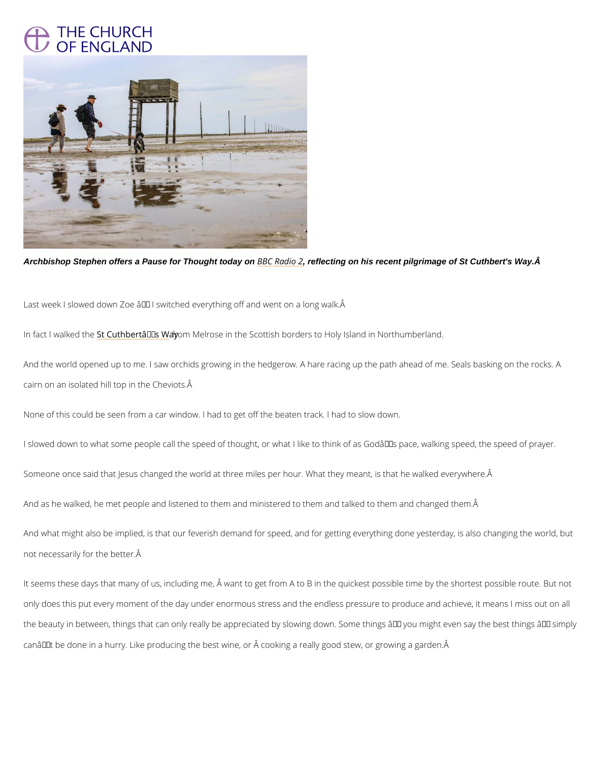## THE CHURCH<br>OF ENGLAND

Archbishop Stephen offers a Pause for Thought today on [BBC Ra](https://www.bbc.co.uk/programmes/m00188xw), dreflecting on his recent pilgrimage of St Cuthbert's Way. A

Last week I slowed down Zoe â $\epsilon$ " I switched everything off and went on a long walk.  $\hat{A}$ 

In fact I wal & ed Culthbert'on Winey rose in the Scottish borders to Holy Island in Northumberla And the world opened up to me. I saw orchids growing in the hedgerow. A hare racing up the cairn on an isolated hill top in the Cheviots.  $\tilde{A}$ 

None of this could be seen from a car window. I had to get off the beaten track. I had to slow I slowed down to what some people call the speed of thought, or what I like to think of as Go Someone once said that Jesus changed the world at three miles per hour. What they meant, i And as he walked, he met people and listened to them and ministered to them and talked to t And what might also be implied, is that our feverish demand for speed, and for getting every

not necessarily for the better.

It seems these days that many of us, including me,  $\hat{A}$  want to get from A to B in the quickest

only does this put every moment of the day under enormous stress and the endless pressure

the beauty in between, things that can only really be appreciated by slowing down. Some thin

can't be done in a hurry. Like producing the best wine, or cooking a really good stew, o